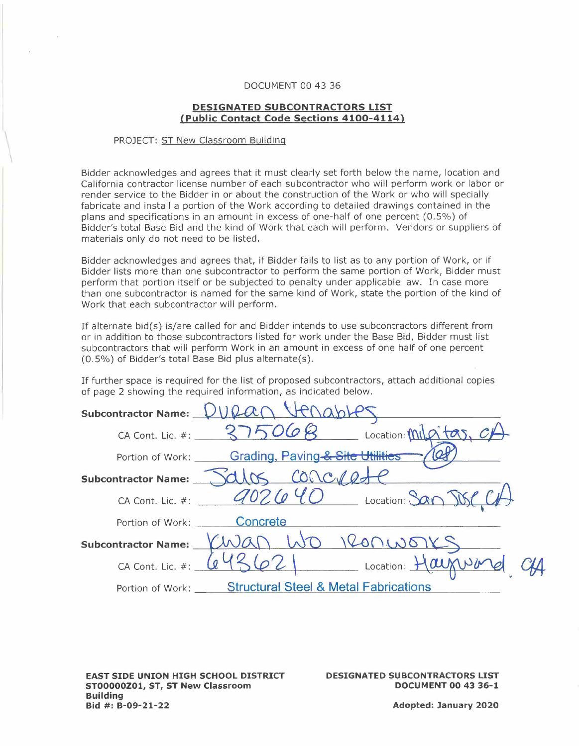## DOCUMENT 00 43 36

## **DESIGNATED SUBCONTRACTORS LIST {Public Contact Code Sections 4100-4114)**

## PROJECT: ST New Classroom Building

 $\mathcal{L}$ 

Bidder acknowledges and agrees that it must clearly set forth below the name, location and California contractor license number of each subcontractor who will perform work or labor or render service to the Bidder in or about the construction of the Work or who will specially fabricate and install a portion of the Work according to detailed drawings contained in the plans and specifications in an amount in excess of one-half of one percent (0.5%) of Bidder's total Base Bid and the kind of Work that each will perform. Vendors or suppliers of materials only do not need to be listed.

Bidder acknowledges and agrees that, if Bidder fails to list as to any portion of Work, or if Bidder lists more than one subcontractor to perform the same portion of Work, Bidder must perform that portion itself or be subjected to penalty under applicable law. In case more than one subcontractor is named for the same kind of Work, state the portion of the kind of Work that each subcontractor will perform.

If alternate bid(s) is/are called for and Bidder intends to use subcontractors different from or in addition to those subcontractors listed for work under the Base Bid, Bidder must list subcontractors that will perform Work in an amount in excess of one half of one percent (0.5%) of Bidder's total Base Bid plus alternate(s).

If further space is required for the list of proposed subcontractors, attach additional copies of page 2 showing the required information, as indicated below.

| Subcontractor Name: VVQA   |                                                        |
|----------------------------|--------------------------------------------------------|
|                            | CA Cont. Lic. #: $375068$ Location: mil of tas, $c\mu$ |
|                            | Portion of Work: Grading, Paving & Site Utilities      |
| <b>Subcontractor Name:</b> | Jalos concre                                           |
| CA Cont. Lic. #:           | 10 Location: San JBC                                   |
|                            | Portion of Work: Concrete                              |
|                            | Subcontractor Name: $(MJA)$ WO RONWORS                 |
| CA Cont. Lic. $#:$         | $2$   Location: $\frac{H^{2}}{2}$                      |
|                            | Portion of Work: Structural Steel & Metal Fabrications |

**EAST SIDE UNION HIGH SCHOOL DISTRICT ST00000Z01, ST, ST New Classroom Building Bid #: B-09-21-22** 

**DESIGNATED SUBCONTRACTORS LIST DOCUMENT 00 43 36-1**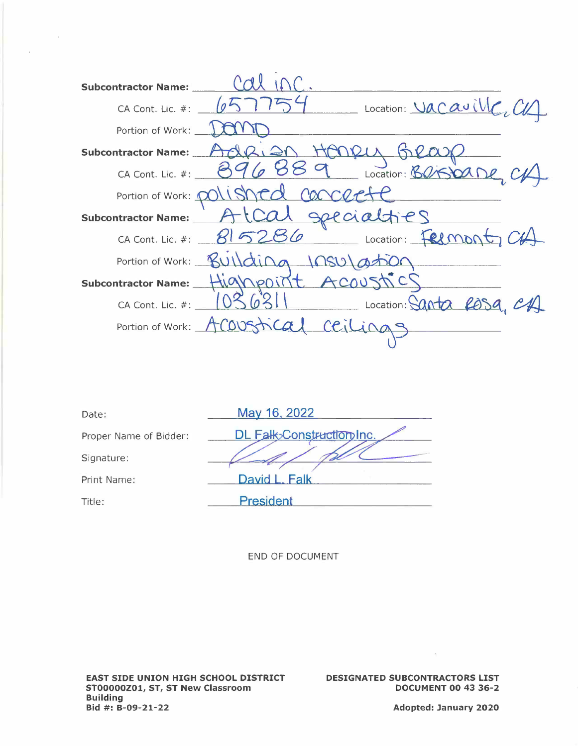| <b>Subcontractor Name:</b>                            |
|-------------------------------------------------------|
| Location: Vacaville, CV<br>CA Cont. Lic. #:           |
| Portion of Work:                                      |
| NDIN 15<br><b>Subcontractor Name:</b>                 |
| 9 Location: BOGOODE CA<br>CA Cont. Lic. #: $89$       |
| Portion of Work: polished concerte                    |
| subcontractor Name: AtCal geecialties                 |
| CA Cont. Lic. #: 815286 Location: Felmont, CH         |
| Portion of Work: Building 1050 at                     |
| Subcontractor Name: Highpoint ACOUSTICS               |
| 63<br>Location: Santa Rosa<br>CA Cont. Lic. #: $\Box$ |
| ical criling<br>Portion of Work: ACO                  |
|                                                       |

| Date:                  | May 16, 2022              |
|------------------------|---------------------------|
| Proper Name of Bidder: | DL Falk>Construction Inc. |
| Signature:             |                           |
| Print Name:            | David L. Falk             |
| Title:                 | <b>President</b>          |

 $\mathcal{O}(\mathcal{O}(\log n))$ 

 $\Delta \sim 10^7$ 

DESIGNATED SUBCONTRACTORS LIST **DOCUMENT 00 43 36-2** 

 $\sim 10^{-10}$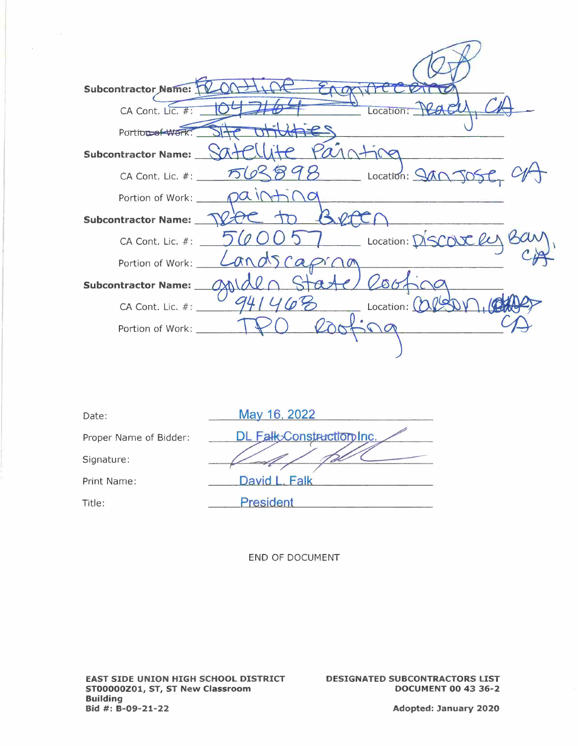| Subcontractor Name: 1          |                                           |
|--------------------------------|-------------------------------------------|
| CA Cont. Lic. #:               | Location: VCA                             |
| Portion of Work:               |                                           |
| Subcontractor Name: __         |                                           |
|                                | CA Cont. Lic. #: 563898 Location: 940 JOG |
| Portion of Work: $\_\_ \Omega$ |                                           |
| Subcontractor Name:            |                                           |
| CA Cont. Lic. #:               | Location: DISCOUR le                      |
| Portion of Work:               | Landsc                                    |
| <b>Subcontractor Name:</b>     | 2001                                      |
| CA Cont. Lic. #:               | Location: $\alpha$                        |
| Portion of Work:               |                                           |
|                                |                                           |

| Date:                  | May 16, 2022              |
|------------------------|---------------------------|
| Proper Name of Bidder: | DL Falk Construction Inc. |
| Signature:             |                           |
| Print Name:            | David L. Falk             |
| Title:                 | <b>President</b>          |

 $\sim$ 

 $\mathcal{L}$ 

**DESIGNATED SUBCONTRACTORS LIST DOCUMENT 00 43 36-2**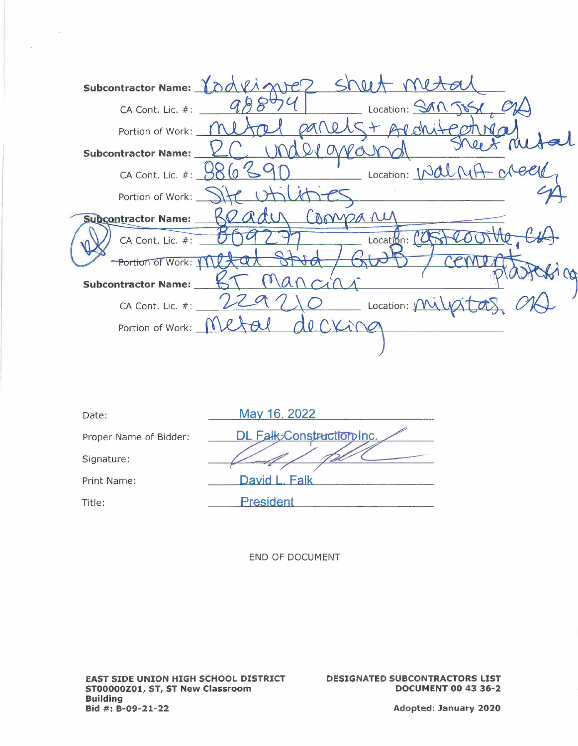| Subcontractor Name: 10     | $V \wedge N$ $P$                                            |
|----------------------------|-------------------------------------------------------------|
| CA Cont. Lic. #:           | Location: SAN JOS                                           |
| Portion of Work:           |                                                             |
| <b>Subcontractor Name:</b> |                                                             |
| CA Cont. Lic. #: _         | Location: Walnut                                            |
|                            | Portion of Work: SH U                                       |
| Subcontractor Name:        | AMMOA NU                                                    |
| CA Cont. Lic. #:           | Location:                                                   |
| Portion of Work: Y         |                                                             |
| <b>Subcontractor Name:</b> |                                                             |
| CA Cont. Lic. #: __        | $\overline{\phantom{a}}$ Location: $\overline{\phantom{a}}$ |
| Portion of Work: _         |                                                             |
|                            |                                                             |

| May 16, 2022              |
|---------------------------|
| DL Falk>Construction Inc. |
|                           |
| David L. Falk             |
| <b>President</b>          |
|                           |

 $\bar{a}$ 

DESIGNATED SUBCONTRACTORS LIST **DOCUMENT 00 43 36-2**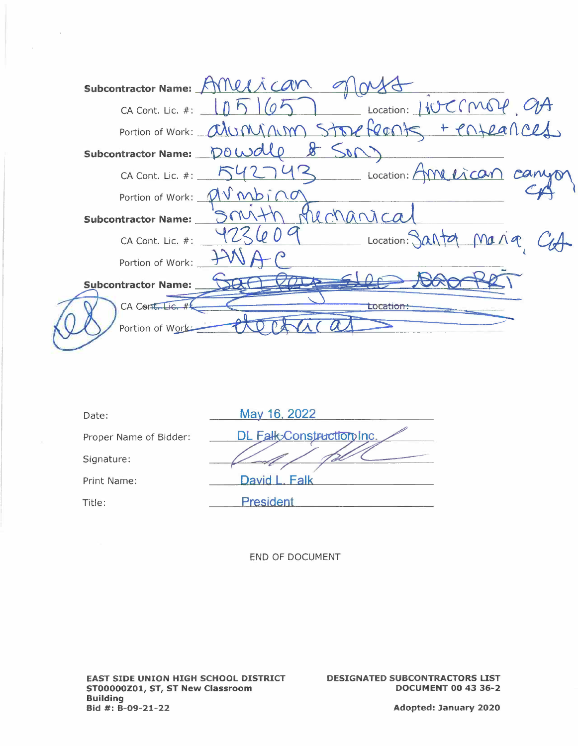

| Date:                  | May 16, 2022              |
|------------------------|---------------------------|
| Proper Name of Bidder: | DL Falk Construction Inc. |
| Signature:             |                           |
| Print Name:            | David L. Falk             |
| Title:                 | <b>President</b>          |
|                        |                           |

**DESIGNATED SUBCONTRACTORS LIST DOCUMENT 00 43 36-2**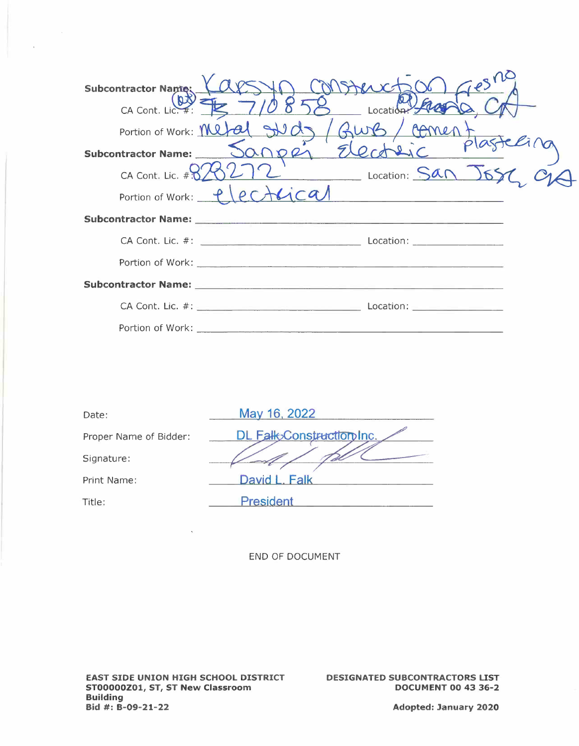| <b>Subcontractor Name:</b> | resno<br>FARA XX                                                 |  |
|----------------------------|------------------------------------------------------------------|--|
| CA Cont. Lic. #:           | Locatio <sub>P</sub><br>Portion of Work: Metal Sud<br>Gurs/comer |  |
| Subcontractor Name:        | 20021                                                            |  |
|                            | CA Cont. Lic. # $825212$ Location: $SAN$                         |  |
|                            | Portion of Work: Plectucal                                       |  |
|                            |                                                                  |  |
|                            |                                                                  |  |
|                            |                                                                  |  |
|                            |                                                                  |  |
|                            |                                                                  |  |
| Portion of Work:           |                                                                  |  |

| Date:                  | May 16, 2022              |
|------------------------|---------------------------|
| Proper Name of Bidder: | DL Falk Construction Inc. |
| Signature:             |                           |
| Print Name:            | David L. Ealk             |
| Title:                 | <b>President</b>          |

**DESIGNATED SUBCONTRACTORS LIST DOCUMENT 00 43 36-2**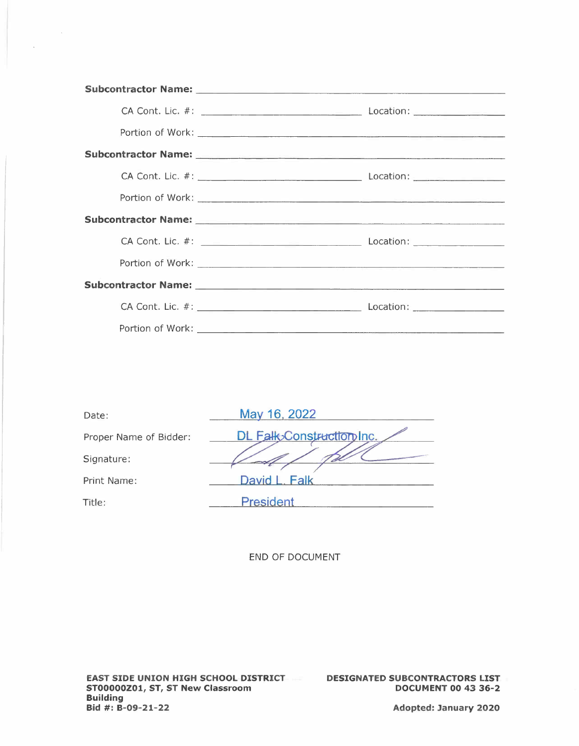| Date:                  | May 16, 2022              |
|------------------------|---------------------------|
| Proper Name of Bidder: | DL Falk>Construction Inc. |
| Signature:             |                           |
| Print Name:            | David L. Falk             |
| Title:                 | <b>President</b>          |
|                        |                           |

 $\label{eq:2.1} \frac{1}{\sqrt{2}}\left(\frac{1}{\sqrt{2}}\right)^{2} \left(\frac{1}{\sqrt{2}}\right)^{2}$ 

 $\sim$ 

**DESIGNATED SUBCONTRACTORS LIST DOCUMENT 00 43 36-2**